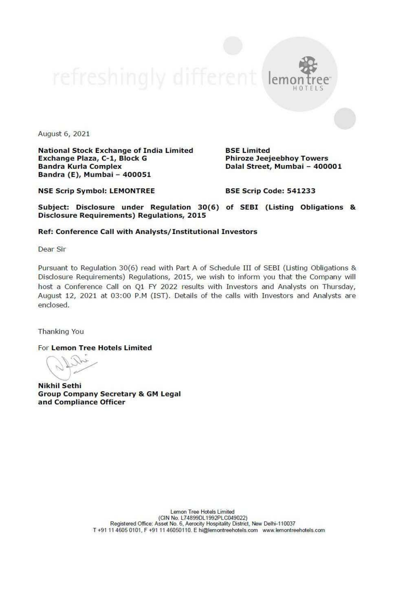lemo

August 6, 2021

National Stock Exchange of India Limited BSE Limited<br>Exchange Plaza, C-1, Block G Phiroze Jeejeebhoy Towers Dalal Street, Mumbai – 400001<br>Bandra (E), Mumbai – 400051 Bandra (E), Mumbai - 400001 mil

NSE Scrip Symbol: LEMONTREE BSE Scrip Code: 541233

Subject: Disclosure under Regulation 30(6) of SEBI (Listing Obligations & Disclosure Requirements) Regulations, 2015

## Ref: Conference Call with Analysts/ Institutional Investors

Dear Sir

Pursuant to Regulation 30(6) read with Part A of Schedule III of SEBI (Listing Obligations & Disclosure Requirements) Regulations, 2015, we wish to inform you that the Company will host a Conference Call on Q1 FY 2022 resu

Thanking You

For Lemon Tree Hotels Limited

Nikhil Sethi<br>Group Company Secretary & GM Legal<br>and Compliance Officer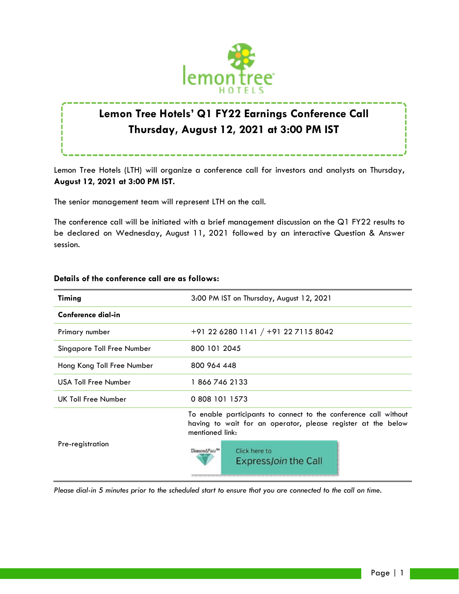

# **Lemon Tree Hotels' Q1 FY22 Earnings Conference Call Thursday, August 12, 2021 at 3:00 PM IST**

Lemon Tree Hotels (LTH) will organize a conference call for investors and analysts on Thursday**, August 12, 2021 at 3:00 PM IST.**

The senior management team will represent LTH on the call.

The conference call will be initiated with a brief management discussion on the Q1 FY22 results to be declared on Wednesday, August 11, 2021 followed by an interactive Question & Answer session.

| Timing                     | 3:00 PM IST on Thursday, August 12, 2021                                                                                                            |
|----------------------------|-----------------------------------------------------------------------------------------------------------------------------------------------------|
| Conference dial-in         |                                                                                                                                                     |
| Primary number             | +91 22 6280 1141 / +91 22 7115 8042                                                                                                                 |
| Singapore Toll Free Number | 800 101 2045                                                                                                                                        |
| Hong Kong Toll Free Number | 800 964 448                                                                                                                                         |
| USA Toll Free Number       | 18667462133                                                                                                                                         |
| UK Toll Free Number        | 0 808 101 1573                                                                                                                                      |
| Pre-registration           | To enable participants to connect to the conference call without<br>having to wait for an operator, please register at the below<br>mentioned link: |
|                            | DiamondPass <sup>ne</sup><br>Click here to<br><b>ExpressJoin the Call</b>                                                                           |

## **Details of the conference call are as follows:**

*Please dial-in 5 minutes prior to the scheduled start to ensure that you are connected to the call on time.*